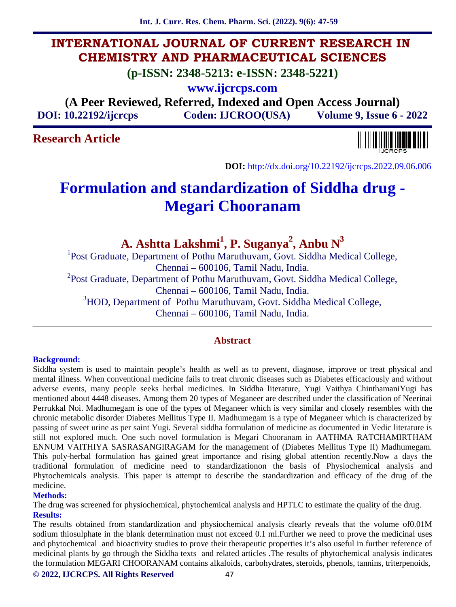# **INTERNATIONAL JOURNAL OF CURRENT RESEARCH IN CHEMISTRY AND PHARMACEUTICAL SCIENCES**

**(p-ISSN: 2348-5213: e-ISSN: 2348-5221)**

**www.ijcrcps.com**

**(A Peer Reviewed, Referred, Indexed and Open Access Journal) DOI: 10.22192/ijcrcps Coden: IJCROO(USA) Volume 9, Issue 6 - 2022**

# **Research Article**



**DOI:** http://dx.doi.org/10.22192/ijcrcps.2022.09.06.006

# **Formulation and standardization of Siddha drug - Megari Chooranam**

**A. Ashtta Lakshmi<sup>1</sup> , P. Suganya<sup>2</sup> , Anbu N<sup>3</sup>**

<sup>1</sup>Post Graduate, Department of Pothu Maruthuvam, Govt. Siddha Medical College, Chennai – 600106, Tamil Nadu, India. <sup>2</sup>Post Graduate, Department of Pothu Maruthuvam, Govt. Siddha Medical College, Chennai – 600106, Tamil Nadu, India. <sup>3</sup>HOD, Department of Pothu Maruthuvam, Govt. Siddha Medical College,

Chennai – 600106, Tamil Nadu, India.

## **Abstract**

#### **Background:**

Siddha system is used to maintain people's health as well as to prevent, diagnose, improve or treat physical and mental illness. When conventional medicine fails to treat chronic diseases such as Diabetes efficaciously and without adverse events, many people seeks herbal medicines. In Siddha literature, Yugi Vaithya ChinthamaniYugi has mentioned about 4448 diseases. Among them 20 types of Meganeer are described under the classification of Neerinai Perrukkal Noi. Madhumegam is one of the types of Meganeer which is very similar and closely resembles with the chronic metabolic disorder Diabetes Mellitus Type II. Madhumegam is a type of Meganeer which is characterized by passing of sweet urine as per saint Yugi. Several siddha formulation of medicine as documented in Vedic literature is still not explored much. One such novel formulation is Megari Chooranam in AATHMA RATCHAMIRTHAM ENNUM VAITHIYA SASRASANGIRAGAM for the management of (Diabetes Mellitus Type II) Madhumegam. This poly-herbal formulation has gained great importance and rising global attention recently.Now a days the traditional formulation of medicine need to standardizationon the basis of Physiochemical analysis and Phytochemicals analysis. This paper is attempt to describe the standardization and efficacy of the drug of the medicine.

#### **Methods:**

The drug was screened for physiochemical, phytochemical analysis and HPTLC to estimate the quality of the drug. **Results:**

The results obtained from standardization and physiochemical analysis clearly reveals that the volume of0.01M sodium thiosulphate in the blank determination must not exceed 0.1 ml.Further we need to prove the medicinal uses and phytochemical and bioactivity studies to prove their therapeutic properties it's also useful in further reference of medicinal plants by go through the Siddha texts and related articles .The results of phytochemical analysis indicates the formulation MEGARI CHOORANAM contains alkaloids, carbohydrates, steroids, phenols, tannins, triterpenoids,

**© 2022, IJCRCPS. All Rights Reserved** 47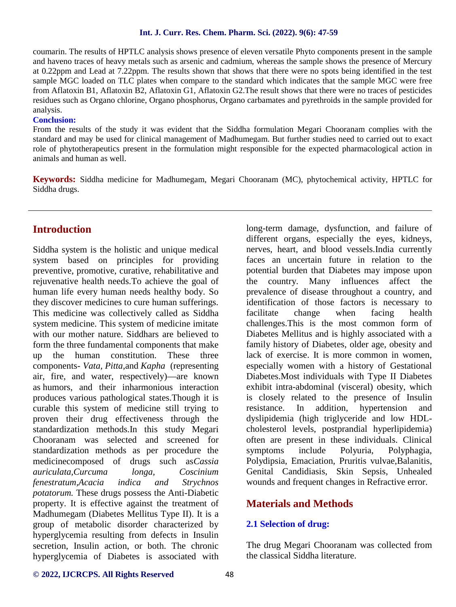coumarin. The results of HPTLC analysis shows presence of eleven versatile Phyto components present in the sample and haveno traces of heavy metals such as arsenic and cadmium, whereas the sample shows the presence of Mercury at 0.22ppm and Lead at 7.22ppm. The results shown that shows that there were no spots being identified in the test sample MGC loaded on TLC plates when compare to the standard which indicates that the sample MGC were free from Aflatoxin B1, Aflatoxin B2, Aflatoxin G1, Aflatoxin G2.The result shows that there were no traces of pesticides residues such as Organo chlorine, Organo phosphorus, Organo carbamates and pyrethroids in the sample provided for analysis.

#### **Conclusion:**

From the results of the study it was evident that the Siddha formulation Megari Chooranam complies with the standard and may be used for clinical management of Madhumegam. But further studies need to carried out to exact role of phytotherapeutics present in the formulation might responsible for the expected pharmacological action in animals and human as well.

**Keywords:** Siddha medicine for Madhumegam, Megari Chooranam (MC), phytochemical activity, HPTLC for Siddha drugs.

# **Introduction**

Siddha system is the holistic and unique medical system based on principles for providing preventive, promotive, curative, rehabilitative and rejuvenative health needs.To achieve the goal of human life every human needs healthy body. So they discover medicines to cure human sufferings. This medicine was collectively called as Siddha system medicine. This system of medicine imitate with our mother nature. Siddhars are believed to form the three fundamental components that make up the human constitution. These three components- *Vata, Pitta,*and *Kapha* (representing air, fire, and water, respectively)—are known as humors, and their inharmonious interaction produces various pathological states.Though it is curable this system of medicine still trying to proven their drug effectiveness through the standardization methods.In this study Megari Chooranam was selected and screened for standardization methods as per procedure the medicinecomposed of drugs such as*Cassia auriculata,Curcuma longa, Coscinium fenestratum,Acacia indica and Strychnos potatorum.* These drugs possess the Anti-Diabetic property. It is effective against the treatment of Madhumegam (Diabetes Mellitus Type II). It is a group of metabolic disorder characterized by hyperglycemia resulting from defects in Insulin secretion, Insulin action, or both. The chronic hyperglycemia of Diabetes is associated with

long-term damage, dysfunction, and failure of different organs, especially the eyes, kidneys, nerves, heart, and blood vessels.India currently faces an uncertain future in relation to the potential burden that Diabetes may impose upon the country. Many influences affect the prevalence of disease throughout a country, and identification of those factors is necessary to facilitate change when facing health challenges.This is the most common form of Diabetes Mellitus and is highly associated with a family history of Diabetes, older age, obesity and lack of exercise. It is more common in women, especially women with a history of Gestational Diabetes.Most individuals with Type II Diabetes exhibit intra-abdominal (visceral) obesity, which is closely related to the presence of Insulin In addition, hypertension and dyslipidemia (high triglyceride and low HDL cholesterol levels, postprandial hyperlipidemia) often are present in these individuals. Clinical include Polyuria, Polyphagia, Polydipsia, Emaciation, Pruritis vulvae,Balanitis, Genital Candidiasis, Skin Sepsis, Unhealed wounds and frequent changes in Refractive error.

# **Materials and Methods**

#### **2.1 Selection of drug:**

The drug Megari Chooranam was collected from the classical Siddha literature.

#### **© 2022, IJCRCPS. All Rights Reserved** 48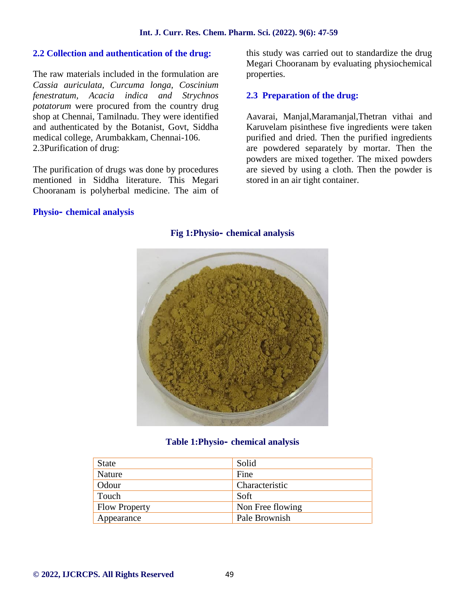#### **2.2 Collection and authentication of the drug:**

The raw materials included in the formulation are *Cassia auriculata, Curcuma longa, Coscinium fenestratum, Acacia indica and Strychnos potatorum* were procured from the country drug shop at Chennai, Tamilnadu. They were identified and authenticated by the Botanist, Govt, Siddha medical college, Arumbakkam, Chennai-106. 2.3Purification of drug:

The purification of drugs was done by procedures mentioned in Siddha literature. This Megari Chooranam is polyherbal medicine. The aim of

#### **Physio– chemical analysis**

this study was carried out to standardize the drug Megari Chooranam by evaluating physiochemical properties.

#### **2.3 Preparation of the drug:**

Aavarai, Manjal,Maramanjal,Thetran vithai and Karuvelam pisinthese five ingredients were taken purified and dried. Then the purified ingredients are powdered separately by mortar. Then the powders are mixed together. The mixed powders are sieved by using a cloth. Then the powder is stored in an air tight container.



#### **Fig 1:Physio– chemical analysis**

#### **Table 1:Physio– chemical analysis**

| <b>State</b>         | Solid            |
|----------------------|------------------|
| Nature               | Fine             |
| Odour                | Characteristic   |
| Touch                | Soft             |
| <b>Flow Property</b> | Non Free flowing |
| Appearance           | Pale Brownish    |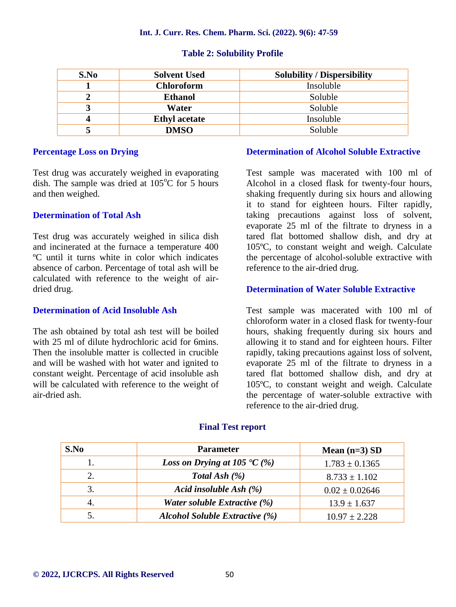| S.No | <b>Solvent Used</b>  | <b>Solubility / Dispersibility</b> |
|------|----------------------|------------------------------------|
|      | <b>Chloroform</b>    | Insoluble                          |
|      | <b>Ethanol</b>       | Soluble                            |
|      | Water                | Soluble                            |
|      | <b>Ethyl</b> acetate | Insoluble                          |
|      | <b>DMSO</b>          | Soluble                            |

#### **Table 2: Solubility Profile**

## **Percentage Loss on Drying**

Test drug was accurately weighed in evaporating dish. The sample was dried at  $105^{\circ}$ C for 5 hours and then weighed.

## **Determination of Total Ash**

Test drug was accurately weighed in silica dish and incinerated at the furnace a temperature 400 ºC until it turns white in color which indicates absence of carbon. Percentage of total ash will be calculated with reference to the weight of air dried drug.

## **Determination of Acid Insoluble Ash**

The ash obtained by total ash test will be boiled with 25 ml of dilute hydrochloric acid for 6mins. Then the insoluble matter is collected in crucible and will be washed with hot water and ignited to constant weight. Percentage of acid insoluble ash will be calculated with reference to the weight of air-dried ash.

## **Determination of Alcohol Soluble Extractive**

Test sample was macerated with 100 ml of Alcohol in a closed flask for twenty-four hours, shaking frequently during six hours and allowing it to stand for eighteen hours. Filter rapidly, taking precautions against loss of solvent, evaporate 25 ml of the filtrate to dryness in a tared flat bottomed shallow dish, and dry at 105ºC, to constant weight and weigh. Calculate the percentage of alcohol-soluble extractive with reference to the air-dried drug.

#### **Determination of Water Soluble Extractive**

Test sample was macerated with 100 ml of chloroform water in a closed flask for twenty-four hours, shaking frequently during six hours and allowing it to stand and for eighteen hours. Filter rapidly, taking precautions against loss of solvent, evaporate 25 ml of the filtrate to dryness in a tared flat bottomed shallow dish, and dry at 105ºC, to constant weight and weigh. Calculate the percentage of water-soluble extractive with reference to the air-dried drug.

| S.No | <b>Parameter</b>                                  | Mean $(n=3)$ SD    |
|------|---------------------------------------------------|--------------------|
|      | <i>Loss on Drying at 105</i> $\textdegree{C}$ (%) | $1.783 \pm 0.1365$ |
|      | Total Ash $(\%)$                                  | $8.733 \pm 1.102$  |
| 3.   | Acid insoluble Ash $(\%)$                         | $0.02 \pm 0.02646$ |
|      | Water soluble Extractive (%)                      | $13.9 \pm 1.637$   |
|      | <b>Alcohol Soluble Extractive (%)</b>             | $10.97 \pm 2.228$  |

#### **Final Test report**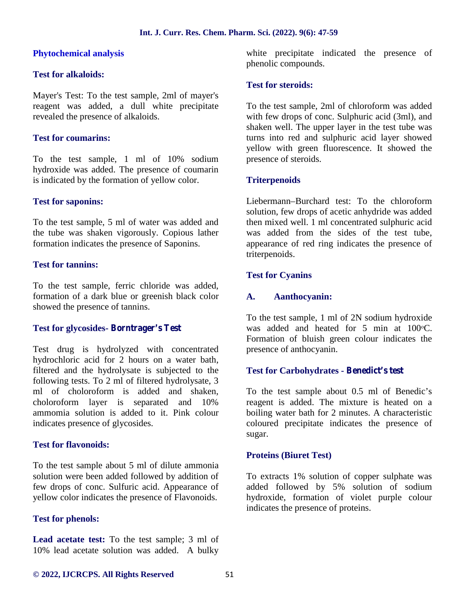#### **Phytochemical analysis**

#### **Test for alkaloids:**

Mayer's Test: To the test sample, 2ml of mayer's reagent was added, a dull white precipitate revealed the presence of alkaloids.

#### **Test for coumarins:**

To the test sample, 1 ml of 10% sodium hydroxide was added. The presence of coumarin is indicated by the formation of yellow color.

#### **Test for saponins:**

To the test sample, 5 ml of water was added and the tube was shaken vigorously. Copious lather formation indicates the presence of Saponins.

## **Test for tannins:**

To the test sample, ferric chloride was added, formation of a dark blue or greenish black color showed the presence of tannins.

## **Test for glycosides- Borntrager's Test**

Test drug is hydrolyzed with concentrated hydrochloric acid for 2 hours on a water bath, filtered and the hydrolysate is subjected to the following tests. To 2 ml of filtered hydrolysate, 3 ml of choloroform is added and shaken, choloroform layer is separated and 10% ammomia solution is added to it. Pink colour indicates presence of glycosides.

## **Test for flavonoids:**

To the test sample about 5 ml of dilute ammonia solution were been added followed by addition of few drops of conc. Sulfuric acid. Appearance of yellow color indicates the presence of Flavonoids.

## **Test for phenols:**

**Lead acetate test:** To the test sample; 3 ml of 10% lead acetate solution was added. A bulky white precipitate indicated the presence of phenolic compounds.

#### **Test for steroids:**

To the test sample, 2ml of chloroform was added with few drops of conc. Sulphuric acid (3ml), and shaken well. The upper layer in the test tube was turns into red and sulphuric acid layer showed yellow with green fluorescence. It showed the presence of steroids.

## **Triterpenoids**

Liebermann–Burchard test: To the chloroform solution, few drops of acetic anhydride was added then mixed well. 1 ml concentrated sulphuric acid was added from the sides of the test tube. appearance of red ring indicates the presence of triterpenoids.

#### **Test for Cyanins**

#### **A. Aanthocyanin:**

To the test sample, 1 ml of 2N sodium hydroxide was added and heated for 5 min at  $100^{\circ}$ C. Formation of bluish green colour indicates the presence of anthocyanin.

## **Test for Carbohydrates - Benedict's test**

To the test sample about 0.5 ml of Benedic's reagent is added. The mixture is heated on a boiling water bath for 2 minutes. A characteristic coloured precipitate indicates the presence of sugar.

## **Proteins (Biuret Test)**

To extracts 1% solution of copper sulphate was added followed by 5% solution of sodium hydroxide, formation of violet purple colour indicates the presence of proteins.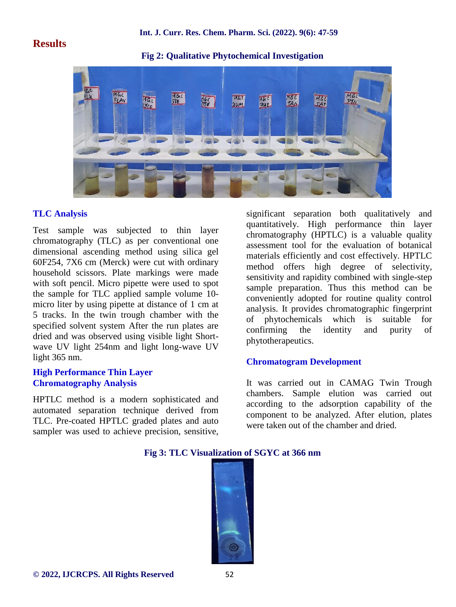## **Results**



**Fig 2: Qualitative Phytochemical Investigation**

## **TLC Analysis**

Test sample was subjected to thin layer chromatography (TLC) as per conventional one dimensional ascending method using silica gel 60F254, 7X6 cm (Merck) were cut with ordinary household scissors. Plate markings were made with soft pencil. Micro pipette were used to spot the sample for TLC applied sample volume 10 micro liter by using pipette at distance of 1 cm at 5 tracks. In the twin trough chamber with the of phytochemicals specified solvent system After the run plates are dried and was observed using visible light Short wave UV light 254nm and light long-wave UV light 365 nm.

## **High Performance Thin Layer Chromatography Analysis**

HPTLC method is a modern sophisticated and automated separation technique derived from TLC. Pre-coated HPTLC graded plates and auto sampler was used to achieve precision, sensitive,

significant separation both qualitatively and quantitatively. High performance thin layer chromatography (HPTLC) is a valuable quality assessment tool for the evaluation of botanical materials efficiently and cost effectively. HPTLC method offers high degree of selectivity, sensitivity and rapidity combined with single-step sample preparation. Thus this method can be conveniently adopted for routine quality control analysis. It provides chromatographic fingerprint which is suitable for confirming the identity and purity of phytotherapeutics.

## **Chromatogram Development**

It was carried out in CAMAG Twin Trough chambers. Sample elution was carried out according to the adsorption capability of the component to be analyzed. After elution, plates were taken out of the chamber and dried.



# **Fig 3: TLC Visualization of SGYC at 366 nm**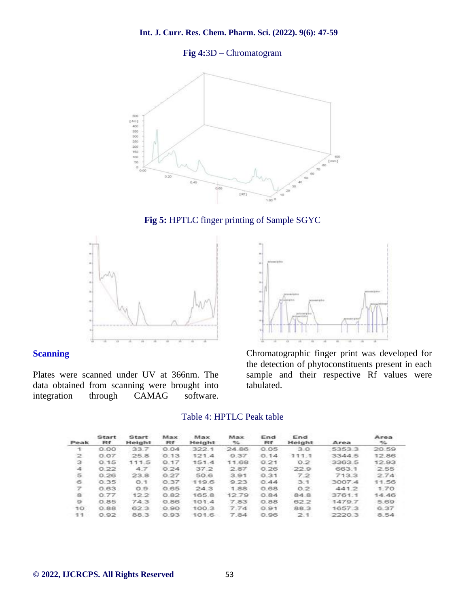## **Fig 4:**3D – Chromatogram



**Fig 5:** HPTLC finger printing of Sample SGYC



## **Scanning**

Plates were scanned under UV at 366nm. The data obtained from scanning were brought into integration through CAMAG software.



Chromatographic finger print was developed for the detection of phytoconstituents present in each sample and their respective Rf values were tabulated.

## Table 4: HPTLC Peak table

| Peak           | Start<br>Rf | Start<br>Height | Max<br>Rf | Max.<br>Height | Max<br>$\%$ | End<br>Rf | End<br>Height | Area   | Area<br>$\frac{1}{2}$ |
|----------------|-------------|-----------------|-----------|----------------|-------------|-----------|---------------|--------|-----------------------|
|                | 0.00        | 33.7            | 0.04      | 322.1          | 24.86       | 0.05      | 3.0           | 5353.3 | 20.59                 |
| $\mathbf{z}$   | 0.07        | 25.8            | 0.13      | 121.4          | 9.37        | 0.14      | 111.1         | 3344.5 | 12.86                 |
| з              | 0.15        | 111.5           | 0.17      | 151.4          | 11.68       | 0.21      | 0.2           | 3363.5 | 12.93                 |
| à.             | 0.22        | 47              | 0.24      | 37.2           | 2.87        | 0.26      | 22.9          | 663.1  | 2.55                  |
| $\overline{5}$ | 0,26        | 23.8            | 0.27      | 50.6           | 3.91        | 0.31      | 7.2           | 713.3  | 2.74                  |
| Ġ              | 0.35        | 0.1             | 0.37      | 119.6          | 9.23        | 0.44      | 3.1           | 3007.4 | 11.56                 |
| 7              | 0.63        | 0.9.            | 0.65      | 24.3           | 1.88        | 0.68      | 0.2           | 441.2  | 1.70                  |
| s              | 0.77        | 12.2            | 0.82      | 165.8          | 12.79       | 0.84      | 84.8          | 3761.1 | 14.46                 |
| $\circ$        | 0.85        | 74.3            | 0.86      | 101.4          | 7.83        | 0.88      | 62.2          | 1479.7 | 5.69                  |
| 10             | 0.88        | 62.3            | 0.90      | 100.3          | 7.74        | 0.91      | 88.3          | 1657.3 | 6.37                  |
| 11             | 0.92        | 88.3            | 0.93      | 101.6          | 7.84        | $-0.96$   | 2.1           | 2220.3 | 8.54                  |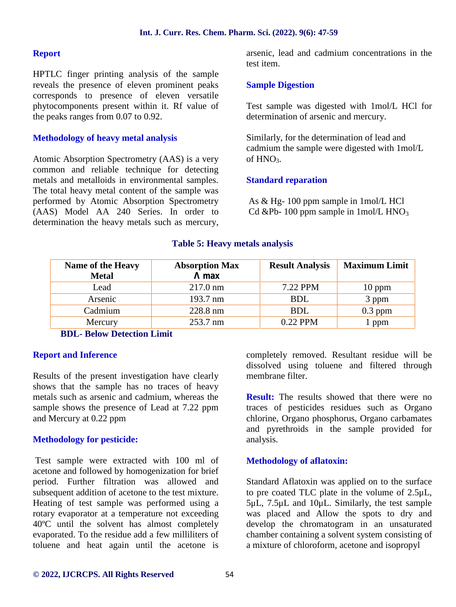#### **Report**

HPTLC finger printing analysis of the sample reveals the presence of eleven prominent peaks corresponds to presence of eleven versatile phytocomponents present within it. Rf value of the peaks ranges from 0.07 to 0.92.

#### **Methodology of heavy metal analysis**

Atomic Absorption Spectrometry (AAS) is a very common and reliable technique for detecting metals and metalloids in environmental samples. The total heavy metal content of the sample was performed by Atomic Absorption Spectrometry (AAS) Model AA 240 Series. In order to determination the heavy metals such as mercury,

arsenic, lead and cadmium concentrations in the test item.

#### **Sample Digestion**

Test sample was digested with 1mol/L HCl for determination of arsenic and mercury.

Similarly, for the determination of lead and cadmium the sample were digested with 1mol/L of HNO<sub>3</sub>.

#### **Standard reparation**

As & Hg- 100 ppm sample in 1mol/L HCl Cd &Pb- 100 ppm sample in  $1 \text{mol/L HNO}_3$ 

#### **Table 5: Heavy metals analysis**

| <b>Name of the Heavy</b> | <b>Absorption Max</b> | <b>Result Analysis</b> | <b>Maximum Limit</b> |
|--------------------------|-----------------------|------------------------|----------------------|
| <b>Metal</b>             | max                   |                        |                      |
| Lead                     | $217.0 \text{ nm}$    | 7.22 PPM               | $10$ ppm             |
| Arsenic                  | 193.7 nm              | <b>BDL</b>             | 3 ppm                |
| Cadmium                  | 228.8 nm              | <b>BDL</b>             | $0.3$ ppm            |
| Mercury                  | 253.7 nm              | 0.22 PPM               | l ppm                |

## **BDL- Below Detection Limit**

#### **Report and Inference**

Results of the present investigation have clearly shows that the sample has no traces of heavy metals such as arsenic and cadmium, whereas the sample shows the presence of Lead at 7.22 ppm and Mercury at 0.22 ppm

#### **Methodology for pesticide:**

Test sample were extracted with 100 ml of acetone and followed by homogenization for brief period. Further filtration was allowed and subsequent addition of acetone to the test mixture. Heating of test sample was performed using a rotary evaporator at a temperature not exceeding 40ºC until the solvent has almost completely evaporated. To the residue add a few milliliters of toluene and heat again until the acetone is

completely removed. Resultant residue will be dissolved using toluene and filtered through membrane filter.

**Result:** The results showed that there were no traces of pesticides residues such as Organo chlorine, Organo phosphorus, Organo carbamates and pyrethroids in the sample provided for analysis.

#### **Methodology of aflatoxin:**

Standard Aflatoxin was applied on to the surface to pre coated TLC plate in the volume of 2.5μL, 5μL, 7.5μL and 10μL. Similarly, the test sample was placed and Allow the spots to dry and develop the chromatogram in an unsaturated chamber containing a solvent system consisting of a mixture of chloroform, acetone and isopropyl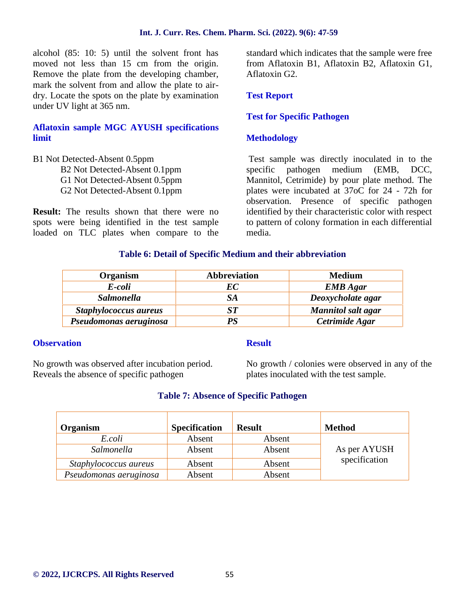alcohol (85: 10: 5) until the solvent front has moved not less than 15 cm from the origin. Remove the plate from the developing chamber, mark the solvent from and allow the plate to air dry. Locate the spots on the plate by examination under UV light at 365 nm.

## **Aflatoxin sample MGC AYUSH specifications limit**

B1 Not Detected-Absent 0.5ppm

B2 Not Detected-Absent 0.1ppm

G1 Not Detected-Absent 0.5ppm

G2 Not Detected-Absent 0.1ppm

**Result:** The results shown that there were no spots were being identified in the test sample loaded on TLC plates when compare to the standard which indicates that the sample were free from Aflatoxin B1, Aflatoxin B2, Aflatoxin G1, Aflatoxin G2.

#### **Test Report**

## **Test for Specific Pathogen**

#### **Methodology**

Test sample was directly inoculated in to the specific pathogen medium (EMB, DCC, Mannitol, Cetrimide) by pour plate method. The plates were incubated at 37oC for 24 - 72h for observation. Presence of specific pathogen identified by their characteristic color with respect to pattern of colony formation in each differential media.

#### **Table 6: Detail of Specific Medium and their abbreviation**

| Organism               | <b>Abbreviation</b> | <b>Medium</b>      |
|------------------------|---------------------|--------------------|
| E-coli                 | EС                  | <b>EMB</b> Agar    |
| <b>Salmonella</b>      | SA                  | Deoxycholate agar  |
| Staphylococcus aureus  | ST                  | Mannitol salt agar |
| Pseudomonas aeruginosa | PS                  | Cetrimide Agar     |

#### **Observation**

No growth was observed after incubation period. Reveals the absence of specific pathogen

#### **Result**

No growth / colonies were observed in any of the plates inoculated with the test sample.

#### **Table 7: Absence of Specific Pathogen**

| Organism               | <b>Specification</b> | <b>Result</b> | <b>Method</b> |
|------------------------|----------------------|---------------|---------------|
| E.coli                 | Absent               | Absent        |               |
| Salmonella             | Absent               | Absent        | As per AYUSH  |
| Staphylococcus aureus  | Absent               | Absent        | specification |
| Pseudomonas aeruginosa | Absent               | Absent        |               |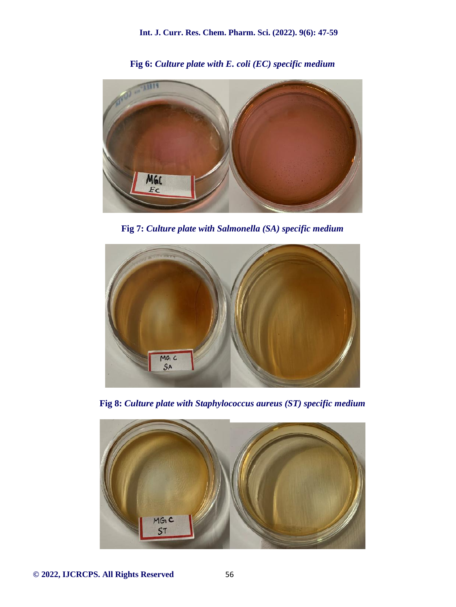

**Fig 6:** *Culture plate with E. coli (EC) specific medium*

**Fig 7:** *Culture plate with Salmonella (SA) specific medium*



**Fig 8:** *Culture plate with Staphylococcus aureus (ST) specific medium*

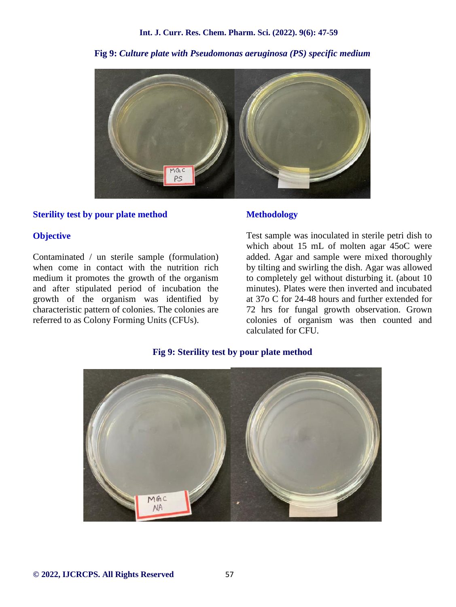**Fig 9:** *Culture plate with Pseudomonas aeruginosa (PS) specific medium*



#### **Sterility test by pour plate method**

## **Objective**

Contaminated / un sterile sample (formulation) when come in contact with the nutrition rich medium it promotes the growth of the organism and after stipulated period of incubation the growth of the organism was identified by characteristic pattern of colonies. The colonies are referred to as Colony Forming Units (CFUs).

#### **Methodology**

Test sample was inoculated in sterile petri dish to which about 15 mL of molten agar 45oC were added. Agar and sample were mixed thoroughly by tilting and swirling the dish. Agar was allowed to completely gel without disturbing it. (about 10 minutes). Plates were then inverted and incubated at 37o C for 24-48 hours and further extended for 72 hrs for fungal growth observation. Grown colonies of organism was then counted and calculated for CFU.



**Fig 9: Sterility test by pour plate method**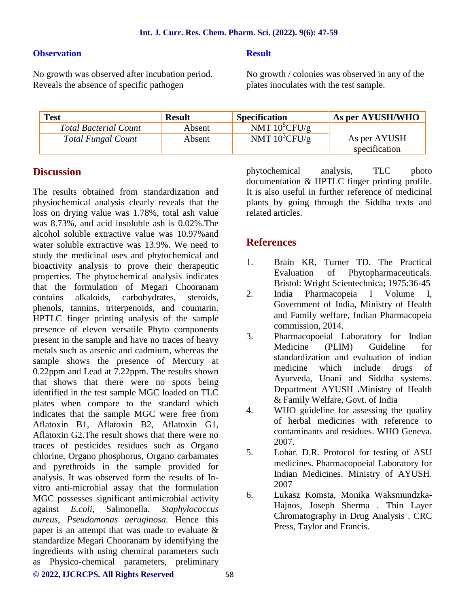#### **Observation**

No growth was observed after incubation period. Reveals the absence of specific pathogen

#### **Result**

No growth / colonies was observed in any of the plates inoculates with the test sample.

| <b>Test</b>                  | <b>Result</b> | <b>Specification</b> | As per AYUSH/WHO |
|------------------------------|---------------|----------------------|------------------|
| <b>Total Bacterial Count</b> | Absent        | NMT $10^5$ CFU/g     |                  |
| <b>Total Fungal Count</b>    | Absent        | NMT $10^3$ CFU/g     | As per AYUSH     |
|                              |               |                      | specification    |

## **Discussion**

**© 2022, IJCRCPS. All Rights Reserved** 58 The results obtained from standardization and physiochemical analysis clearly reveals that the loss on drying value was 1.78%, total ash value was 8.73%, and acid insoluble ash is 0.02%.The alcohol soluble extractive value was 10.97%and water soluble extractive was 13.9%. We need to study the medicinal uses and phytochemical and bioactivity analysis to prove their therapeutic properties. The phytochemical analysis indicates that the formulation of Megari Chooranam contains alkaloids, carbohydrates, steroids, phenols, tannins, triterpenoids, and coumarin. HPTLC finger printing analysis of the sample presence of eleven versatile Phyto components present in the sample and have no traces of heavy 3. metals such as arsenic and cadmium, whereas the sample shows the presence of Mercury at 0.22ppm and Lead at 7.22ppm. The results shown that shows that there were no spots being identified in the test sample MGC loaded on TLC plates when compare to the standard which<br>intervalsed to the standard contract of the standard development of the standard development of the standard development of the standard development of the standard development of indicates that the sample MGC were free from Aflatoxin B1, Aflatoxin B2, Aflatoxin G1, Aflatoxin G2.The result shows that there were no traces of pesticides residues such as Organo chlorine, Organo phosphorus, Organo carbamates and pyrethroids in the sample provided for analysis. It was observed form the results of In vitro anti-microbial assay that the formulation MGC possesses significant antimicrobial activity against *E.coli,* Salmonella. *Staphylococcus aureus*, *Pseudomonas aeruginosa.* Hence this paper is an attempt that was made to evaluate & standardize Megari Chooranam by identifying the ingredients with using chemical parameters such as Physico-chemical parameters, preliminary

phytochemical analysis, TLC photo documentation & HPTLC finger printing profile. It is also useful in further reference of medicinal plants by going through the Siddha texts and related articles.

# **References**

- Brain KR, Turner TD. The Practical Evaluation of Phytopharmaceuticals. Bristol: Wright Scientechnica; 1975:36-45
- 2. India Pharmacopeia I Volume I, Government of India, Ministry of Health and Family welfare, Indian Pharmacopeia commission, 2014.
- 3. Pharmacopoeial Laboratory for Indian Medicine (PLIM) Guideline for standardization and evaluation of indian medicine which include drugs of Ayurveda, Unani and Siddha systems. Department AYUSH .Ministry of Health & Family Welfare, Govt. of India
- WHO guideline for assessing the quality of herbal medicines with reference to contaminants and residues. WHO Geneva. 2007.
- 5. Lohar. D.R. Protocol for testing of ASU medicines. Pharmacopoeial Laboratory for Indian Medicines. Ministry of AYUSH. 2007
- 6. Lukasz Komsta, Monika Waksmundzka- Hajnos, Joseph Sherma . Thin Layer Chromatography in Drug Analysis . CRC Press, Taylor and Francis.